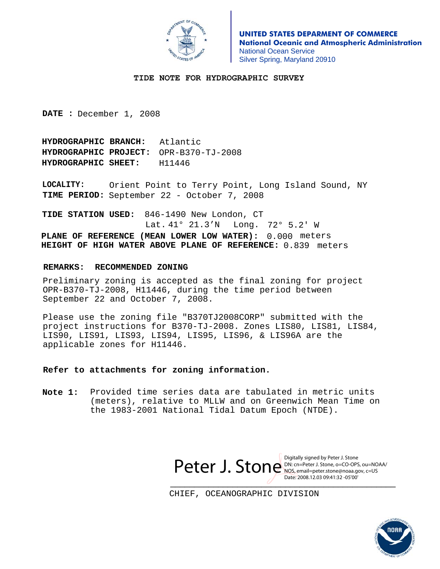# **Appendix I**

# **Dangers to Navigation**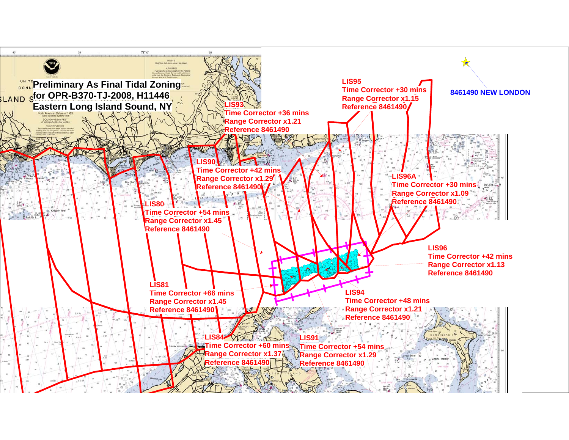# **Appendix II**

# **Survey Features Report**

### **1. Charted Features**

 $-N/A$ 

**2. Uncharted Features** 

### **3. AWOIS Items**